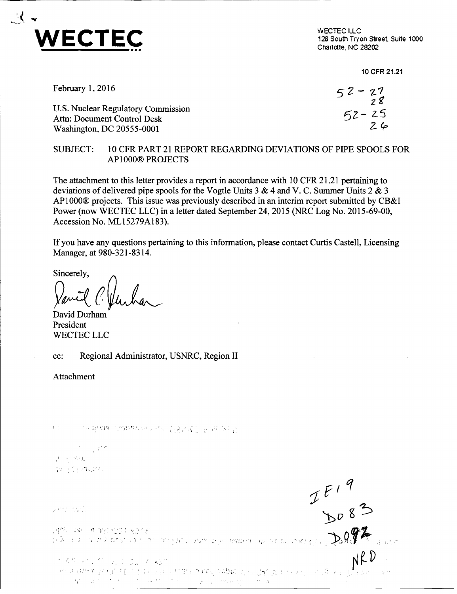

128 South Tryon Street. Suite 1000 Charlotte, NC 28202

 $I\frac{F19}{b083}$ 

10 CFR 21.21

| February $1,2016$                  | $52 - 27$<br>$28$ |
|------------------------------------|-------------------|
| U.S. Nuclear Regulatory Commission | $52 - 25$         |
| Attn: Document Control Desk        |                   |
| Washington, DC 20555-0001          | $Z$ 6             |

## SUBJECT: 10 CFR PART 21 REPORT REGARDING DEVIATIONS OF PIPE SPOOLS FOR AP 1000® PROJECTS

The attachment to this letter provides a report in accordance with 10 CFR 21.21 pertaining to deviations of delivered pipe spools for the Vogtle Units 3 & 4 and V. C. Summer Units 2 & 3 AP1000® projects. This issue was previously described in an interim report submitted by CB&I Power (now WECTEC LLC) in a letter dated September 24, 2015 (NRC Log No. 2015-69-00, Accession No. ML15279A183).

If you have any questions pertaining to this information, please contact Curtis Castell, Licensing Manager, at 980-321-8314.

Sincerely,

David Durham President WECTEC LLC

cc: Regional Administrator, USNRC, Region II

Attachment

 $\mathcal{F}(\mathbb{S}_q^{(n)})$ - 1984年(NRF) (2011年12月) 2月22日(1898年) 全国中国人民

**A.** 七点 ya ki firmayar.

Dent Karlo

さいちちょう おやり しゅうし ウエンス えなぎ a a control de la consegue de la partida de la consegue de la consegue de la consegue de la consegue de la con<br>La consegue de la consegue de la consegue de la consegue de la consegue de la consegue de la consegue de la co<br>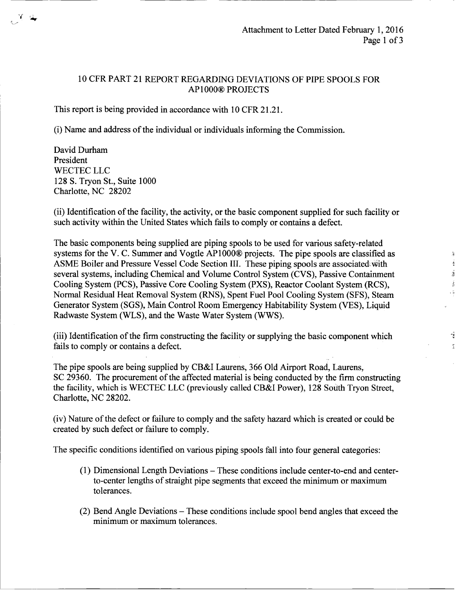$\mathcal{R}$  $\tilde{\mathcal{A}}$  $\frac{3}{2}$ Â  $\sim \frac{1}{2}$ 

> ý  $\mathbb T$

## 10 CFR PART 21 REPORT REGARDING DEVIATIONS OF PIPE SPOOLS FOR<br>AP1000® PROJECTS

This report is being provided in accordance with 10 CFR 21.21.

(i) Name and address of the individual or individuals informing the Commission.

David Durham President WECTEC LLC 128 S. Tryon St., Suite 1000 Charlotte, NC 28202

(ii) Identification of the facility, the activity, or the basic component supplied for such facility or such activity within the United States which fails to comply or contains a defect.

The basic components being supplied are piping spools to be used for various safety-related systems for the V. C. Summer and Vogtle AP1000® projects. The pipe spools are classified as ASME Boiler and Pressure Vessel Code Section III. These piping spools are associatediwith several systems, including Chemical and Volume Control System (CVS), Passive Containment Cooling System (PCS), Passive Core Cooling System (PXS), Reactor Coolant System (RCS), Normal Residual Heat Removal System (RNS), Spent Fuel Pool Cooling System (SFS), Steam Generator System (SGS), Main Control Room Emergency Habitability System (VES), Liquid Radwaste System (WLS), and the Waste Water System (WWS).

(iii) Identification of the firm constructing the facility or supplying the basic component which fails to comply or contains a defect.

The pipe spools are being supplied by CB&I Laurens, 366 Old Airport Road, Laurens, SC 29360. The procurement of the affected material is being conducted by the firm constructing the facility, which is WECTEC LLC (previously called CB&I Power), 128 South Tryon Street, Charlotte, NC 28202.

(iv) Nature of the defect or failure to comply and the safety hazard which is created or could be created by such defect or failure to comply.

The specific conditions identified on various piping spools fall into four general categories:

- (1) Dimensional Length Deviations These conditions include center-to-end and centerto-center lengths of straight pipe segments that exceed the minimum or maximum tolerances.
- (2) Bend Angle Deviations These conditions include spool bend angles that exceed the minimum or maximum tolerances.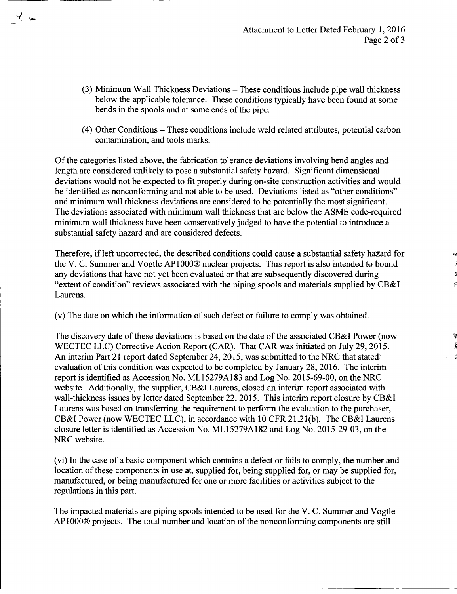Y

- (3) Minimum Wall Thickness Deviations These conditions include pipe wall thickness below the applicable tolerance. These conditions typically have been found at some bends in the spools and at some ends of the pipe.
- (4) Other Conditions These conditions include weld related attributes, potential carbon contamination, and tools marks.

Of the categories listed above, the fabrication tolerance deviations involving bend angles and length are considered unlikely to pose a substantial safety hazard. Significant dimensional deviations would not be expected to fit properly during on-site construction activities and would be identified as nonconforming and not able to be used. Deviations listed as "other conditions" and minimum wall thickness deviations are considered to be potentially the most significant. The deviations associated with minimum wall thickness that are below the ASME code-required minimum wall thickness have been conservatively judged to have the potential to introduce a substantial safety hazard and are considered defects.

Therefore, if left uncorrected, the described conditions could cause a substantial safety hazard for the V. C. Summer and Vogtle AP1000® nuclear projects. This report is also intended to bound any deviations that have not yet been evaluated or that are subsequently discovered during "extent of condition" reviews associated with the piping spools and materials supplied by CB&I Laurens.

(v) The date on which the information of such defect or failure to comply was obtained.

The discovery date of these deviations is based on the date of the associated CB&I Power (now WECTEC LLC) Corrective Action Report (CAR). That CAR was initiated on July 29, 2015. An interim Part 21 report dated September 24, 2015, was submitted to the NRC that stated<sup>®</sup> evaluation of this condition was expected to be completed by January 28, 2016. The interim report is identified as Accession No. ML 15279A183 and Log No. 2015-69-00, on the NRC website. Additionally, the supplier, CB&I Laurens, closed an interim report associated with wall-thickness issues by letter dated September 22, 2015. This interim report closure by CB&I Laurens was based on transferring the requirement to perform the evaluation to the purchaser, CB&I Power (now WECTEC LLC), in accordance with 10 CFR 21.21(b). The CB&I Laurens closure letter is identified as Accession No. ML15279A182 and Log No. 2015-29-03, on the NRC website.

(vi) In the case of a basic component which contains a defect or fails to comply, the number and location of these components in use at, supplied for, being supplied for, or may be supplied for, manufactured, or being manufactured for one or more facilities or activities subject to the regulations in this part.

The impacted materials are piping spools intended to be used for the V. C. Summer and Vogtle APlOO0® projects. The total number and location of the nonconforming components are still